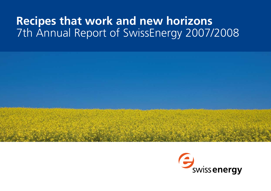# **Recipes that work and new horizons** 7th Annual Report of SwissEnergy 2007/2008



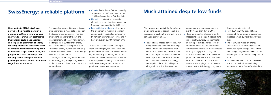#### wissEnerc

## **SwissEnergy: a reliable platform**

**Once again, in 2007, SwissEnergy proved to be a reliable platform in a dynamic political environment. As an overall programme of partnership SwissEnergy could make a remarkable impact on promotion of energy efficiency and use of renewable forms of energies despite less funding. Now in its second stage (2006 to 2010), the programme is well underway – and the programme managers are now planning to redirect efforts in a further stage from 2010 to 2020.**

The federal government implements part of its energy and climate policies through the SwissEnergy programme. Thus, the programme for energy efficiency and renewable forms of energy helps achieve the targets set in Switzerland's energy and climate policies, paving the way for sustainable energy supplies and reducing the country's dependence on fossil energy resources located abroad.

- Climate: Reduction of CO<sub>2</sub> emissions by 10 per cent by 2010 (compared to the 1990 level) according to CO<sub>2</sub> legislation.
- Electricity: Limiting the increase in electricity consumption to a maximum of 5 per cent compared to the 2000 level.
- Renewable forms of energy: Increasing the proportion of renewable forms of energy used in electricity production by 500 million kilowatt-hours (kWh) and in heat production by 3,000 million kWh.

The targets of the programme are based on the Energy Act, the Kyoto agreement on the climate and the CO2 Act. Such aims are as follows:

■ The additional impacts achieved in 2007 through voluntary measures encouraged by the SwissEnergy programme lie at about 3.5 petajoules (PJ). These impacts are about 16 per cent lower than in the previous year and constitute about 0.4 per cent of Switzerland's final energy consumption. The additional impacts fell again for the first time since the

To ensure it has the needed backing to attain these targets, the SwissEnergy programme relies on close partnerships involving the federal government, the cantons and municipalities, and numerous partners from the private economy, environmental and consumer organisations and from public and private sector agencies.

- From 2001 to 2006, the additional impacts of the SwissEnergy programme increased overall by more than 160 per cent.
- $\blacksquare$  The continuing impact on energy consumption of all voluntary measures introduced by the Energy 2000 and the SwissEnergy programmes combined rose by three per cent to 31.6 PJ compared to 2006.
- The reductions in CO<sub>2</sub> output achieved in 2007 on the basis of continuing measures from the Energy 2000 and the

# **Much attained despite low funds**

After a seven-year period the SwissEnergyprogramme has once again been able to increase its impact on the energy field in a demanding environment.

programme was introduced to a level slightly higher than that of 2005. There are a number of reasons for the modest increase in impact: Federal funding of the SwissEnergy programme fell by seven per cent to a historic low of 39 million francs. The reference trend was modified once again mainly because of rising energy prices. Finally, the Climate Cent Foundation implemented promotion measures in 2007 that were both substantial and efficient. These measures also impinged upon the sector covered by the SwissEnergy programme



thus reducing its potential.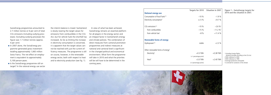SwissEnergy programmes amounted to 2.7 million tonnes or 6 per cent of total CO2 emissions (including outlying processes). Excluding outlying processes the figure was 1.7 million tonnes (approx. 4 per cent)

- In 2007 alone, the SwissEnergy programme generated gross investment totalling approximately 1,065 million Swiss francs. The net effect on employment is equivalent to approximately 5,100 person-years.
- Is the SwissEnergy programme still on target? In the rational energy use sector

the interim balance is mixed: Switzerland is slowly nearing the target values for emissions from combustibles in the CO2 Act, but for vehicle fuels the shortfall has increased. As far as limiting the increase in electricity consumption is concerned, it is apparent that the target values cannot be reached with just the current efficiency measures. The programme is still on course, however, in the renewable energy sector, both with respect to heat and to electricity production (see fig. 1).

In view of what has been achieved, SwissEnergy remains an essential platform for all players in the energy sector and an integral factor in Switzerland's energy and climate policies. The combination of direct measures from cantonal promotion programmes and indirect measures at national and cantonal level is significant in the changed political and economical environment. What form the programme will take in 2010 and what the priorities will be will have to be determined in the coming years.

| <b>Rational energy use</b>                   |                        | Targets for 2010 Situation in 2007 | Figure 1 - SwissEnergy targets<br>2010 and the situation in 2007.       |
|----------------------------------------------|------------------------|------------------------------------|-------------------------------------------------------------------------|
| Consumption of fossil fuels <sup>1/2</sup>   | $-10%$                 | $-1.9%$                            |                                                                         |
| Electricity consumption <sup>2</sup>         | $\leq +5\%$            | $+9.7%$                            |                                                                         |
| $CO2$ emissions <sup>1/3</sup>               | $-10%$                 | $-2.6 \%$                          |                                                                         |
| from combustibles                            | $-15%$                 | $-11.2 \%$                         |                                                                         |
| from vehicle fuel                            | $-8\%$                 | $+11.4%$                           |                                                                         |
| <b>Renewable forms of energy</b>             |                        |                                    |                                                                         |
| Hydropower <sup>2/4</sup>                    | stable                 | $+2.3%$                            |                                                                         |
| Other renewable forms of energy <sup>2</sup> |                        |                                    |                                                                         |
| Electricity <sup>2</sup>                     | $+0.5$ TWh             | $+0.38$ TWh                        | 1 Excluding foreign flights;                                            |
|                                              | (+1 percentage point)  |                                    | domestic principle according to the CO2 Act<br>2 With reference to 2000 |
| Heat <sup>2</sup>                            | $+3.0$ TWh             | $+2.40$ TWh                        | 3 With reference to 1990<br>4 Average production anticipated            |
|                                              | (+3 percentage points) |                                    | 5 Corrected for variations in the climate                               |



| Targets for 2010                    | Situation in 2007 | Figure 1 – SwissEnergy targets for<br>2010 and the situation in 2007.                                   |
|-------------------------------------|-------------------|---------------------------------------------------------------------------------------------------------|
| $-10%$                              | $-1.9%$           |                                                                                                         |
| $\le +5\%$                          | $+9.7%$           |                                                                                                         |
|                                     |                   |                                                                                                         |
| $-10%$                              | $-2.6 \%$         |                                                                                                         |
| $-15%$                              | $-11.2 \%$        |                                                                                                         |
| $-8\%$                              | $+11.4%$          |                                                                                                         |
| stable                              | $+2.3%$           |                                                                                                         |
| $+0.5$ TWh<br>(+1 percentage point) | $+0.38$ TWh       | 1 Excluding foreign flights;<br>domestic principle according to the CO2 Act<br>2 With reference to 2000 |
| $+3.0$ TWh                          | $+2.40$ TWh       | 3 With reference to 1990<br>4 Average production anticipated                                            |
| (+3 percentage points)              |                   | 5 Corrected for variations in the climate                                                               |
|                                     |                   |                                                                                                         |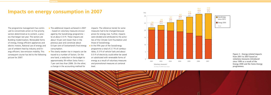## **Impacts on energy consumption in 2007**

The programme management has contin ued to concentrate action on five priority sectors determined as to content, a proc ess that began last year. The sectors are Building modernisation, Renewable forms of energy, Energy efficient appliances and electric motors, Rational use of energy and use of ambient heat by industry and En ergy efficient, low-emission mobility. This consequent course has led to the following picture for 2007:

- The additional impacts achieved in 2007 – based on voluntary measures encour aged by the SwissEnergy programme – lie at about 3.5 PJ. These impacts are about 16 per cent lower than in the previous year and constitute about 0.4 per cent of Switzerland's final energy consumption.
- $\blacksquare$  The clearly weaker rise in impacts can be traced to a number of factors. On the one hand, a reduction in the budget to approximately 39 million Swiss francs – 7 per cent less than 2006. On the other, a change in the accounting method for

 $\blacksquare$  In the fifth year of the SwissEnergy programme a total of 2.7 PJ of combus tibles, 0.3 PJ of vehicle fuels and about 0.5 PJ of electricity could either be saved or substituted with renewable forms of energy as a result of voluntary measures and promotional measures at cantonal level.

impacts: The reference trends for some measures had to be changed because prices for energy rose. Further, impacts were divided and attributed to the activi ties of the Climate Cent Foundation and those of SwissEnergy.







**Figure 2 – Energy-related impacts from 2001 to 2007 based on voluntary measures introduced since 1990 as a result of the Energy 2000 and the Swiss-Energy programmes.**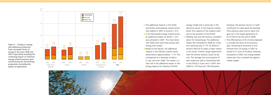- $\blacksquare$  The additional impacts in the Public authorities and buildings market sector rose slightly in 2007 to around 1.4 PJ.  $\blacksquare$  In the Renewable energy market sector an additional impact of almost 1.2 PJ was achieved in 2007. The most domi nant fields here were heat pumps and energy from wood.
- Based on the figures, the additional impacts in the Industry market sector amounted to approximately 1.1 PJ. This corresponds to a decrease of about 21 per cent over 2006. The reason is a clear fall in the additional impact in the Energy Agency for Industry's (EnAW)

The effectiveness of the funds employed is virtually the same as the previous year. Achieving an economy of one kilowatt-hour of energy in 2007 re quired 0.21 cents of funding. However, compared to 2002, the energy-related impact per franc invested has approxi mately tripled.

energy model and in particular in the electricity sector. In the Industry market sector the majority of the impacts were due to the activities of the EnAW. **Mobility was and still remains a problem** sector for SwissEnergy. The additional impact fell compared to 2006 by 15 per cent reaching only 0.1 PJ. As before it remains difficult to make a major impact in this sector. Further, target agreements with the vehicle industry could not be met: The average fuel consumption of new motorcars sold in Switzerland did in fact fall by 2.5 per cent in 2007 over 2006 to 7.43 litres per 100 kilometres.



However, the positive result is in itself insufficient to make good the backlog from previous years and to attain the goal set in the target agreement of 6.4 l/100 km by the end of 2008.



**Figure 3 – Savings in energy and additional production from renewable forms of energy in the years 2006 and 2007 respectively including the continuing impact of voluntary energy-related measures gen erated during the SwissEnergy programme (excluding the impact of legislation).**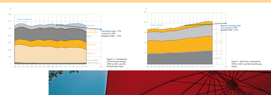

PJ





**Figure 5 - Electricity consumption, 1990 to 2007, and the SwissEnergy**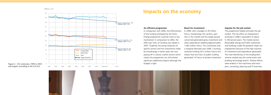



**Figure 6 – CO2 emissions, 1990 to 2007, and targets according to the CO2 Act.**



## **Impacts on the economy**

#### **An efficient programme**

In comparison with 2006, the effectiveness of the funding employed by the Swiss-Energy programme could be more or less maintained. In comparison to 2002, the effect per franc of funding was tripled in 2007. Evidently, focussing measures on specific sectors and the investments made by SwissEnergy in earlier years are now paying off in various market sectors which means the programme can still achieve significant additional impacts although the budget is tight.

#### **Boost for investment**

In 2006, with a budget of 39 million francs, SwissEnergy, the cantons, partners in the market and the target groups concerned generated gross investment and other expenditure totalling approximately 1,065 million francs. This constitutes only a marginal decrease over 2006. Counting cantonal funding (35.5 million francs) this means that one franc of public funding generated 14 francs of private investment.

#### **Impulse for the job market**

The programme helped stimulate the job market. The net effect on employment achieved in 2006 is equivalent to about 5,100 person-years. The market sectors Renewable energy and Public authorities and buildings made the greatest impact on employment because of the high volumes of investment and expenditure generated. The main beneficiary of the employment volume created was the construction and building technology branch. Positive effects were evident in the machinery and transport, consulting, planning and IT branches.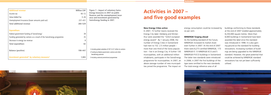**Figure 7 – Impact of voluntary Swiss-Energy measures in 2007 on public finances and the unemployment insurance and investment generated by SwissEnergy funding in 2007.**

| <b>Additional revenue</b>                                             | <b>Million CHF</b> |  |
|-----------------------------------------------------------------------|--------------------|--|
| Income tax                                                            | $40 - 72$          |  |
| Value Added Tax                                                       | $3 - 26$           |  |
| Unemployment Insurance (lower amounts paid out)                       | 237-431            |  |
| <b>Total additional revenue</b>                                       | 280-529            |  |
|                                                                       |                    |  |
| <b>Expenditure</b>                                                    |                    |  |
| Federal government funding of SwissEnergy <sup>1</sup>                | 39                 |  |
| Funding generated by cantons as a result of the SwissEnergy programme | 35                 |  |
| Decrease in energy tax revenue                                        | 8                  |  |
| <b>Total expenditure</b>                                              | 82                 |  |
|                                                                       |                    |  |
| <b>Balance (positive)</b>                                             | 198-447            |  |
|                                                                       |                    |  |
| Investment generated <sup>2</sup> by voluntary measures <sup>3</sup>  | 1,065              |  |
|                                                                       |                    |  |

# 1 Including global subsidies of CHF 13.27 million to cantons

- 2 Funding by federal government, cantons and other SwissEnergy partners
- 3 Including cantonal promotional programmes

# **Activities in 2007 – and five good examples**

#### **New Energy Cities active**

In 2007, 15 further towns received the Energy City label. Delsberg and Winterthur were awarded the "GOLD european energy award". By 1 January 2008, the number of Energy Cities in Switzerland had risen to 152. 2.5 million people – more than one third of the Swiss population – live in an Energy City. A further 130 municipalities, with an additional million inhabitants, participate in the SwissEnergy programme for municipalities. In 2007, an above average number of new municipalities joined the programme. The impact on

energy consumption could be increased by six per cent.

#### **MINERGIE forging ahead**

As the building standard of the future, MINERGIE increased its market share even further in 2007: At the end of 2007 there were 8,273 certified MINERGIE, 173 MINERGIE-P, 13 MINERGIE-ECO and 5 MINERGIE-P-ECO buildings in Switzerland. The latter two standards were introduced in 2006; in 2007 the first buildings of the type were certified to the new standards. The total energy reference area of all





buildings conforming to these standards at the end of 2007 totalled approximately 8,230,000 square metres. More than 8,000 buildings in Switzerland have been awarded the label since the standard was introduced in 1998. It is also gaining ground as the standard for building renovations. Increasing numbers of buildings are being upgraded to the MINERGIE standard. However, the great potential that could be achieved by MINERGIE standard renovations has not yet been sufficiently utilised.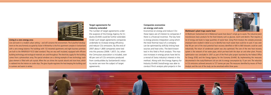## **Target agreements for industry extended**

The number of target agreements under the auspices of the Energy Agency for Industry (EnAW) could be further extended. Under such target agreements companies undertake to increase energy efficiency and reduce CO2 emissions. By the end of 2007 about 1,800 companies were tied into this process (2006: 1,657). So, when the Cemsuisse association is included, over 40 per cent of CO2 emissions produced from combustibles by Switzerland's industry sector are now the subject of target agreements.

### **Companies economise on energy and costs**

Economise on energy and reduce CO2: these topics are of interest to companies if there is a financial incentive. The key here is energy process integration using which the total thermal input of a company can be optimised by skilfully linking heat sources and heat sinks. The best-known tool in this field is Pinch analysis. The massive increases in energy prices have led to a revival of Swiss industry's interest in this method. Along with the Energy Agency for Industry (EnAW) SwissEnergy was able to conduct Pinch analysis pilot projects in the

### **Blattmann's plant traps waste heat**

At Blattmann Switzerland Ltd in Wädenswil waste heat doesn't simply go to waste. The industrial plant manufactures basic products for the food industry such as glucose, starch and dextrin. That requires a lot of energy and leads to large quantities of waste heat. Using Pinch Analysis the complex processes employed were studied in detail so as to identify how much waste heat could be re-used. It was seen that 90 per cent of the total potential heat recovery identified or 600 to 660 kilowatts could be used industrially. The return of condensate system was also optimised. The core of the new heat recovery system is the network of hot water pipes, which pre-heat both the dryer air and other plant. Process optimisation was concluded in 2007 as part of the Pinch pilot project launched by the Federal Office for Energy (FOE) and the Energy Agency for the Economy (EnAW). By implementing the measures documented in the study Blattmann Ltd can sink its energy consumption by 15 per cent. The reduction in CO2 emissions achieved amounts to 727 tonnes per year. The measures identified by means of Pinch Analysis and the cost of the study can be amortised within three years.







#### **Living in a zero energy area**

Live and work in a modern urban setting – and still conserve the environment. The Eulachhof development on the area formerly occupied by Sulzer in Winterthur is the first apartment complex in Switzerland with a zero energy balance. The buildings with 132 tenanted apartments and eight business premises are built to the MINERGIE-P-ECO label standard. They are very well insulated, equipped with efficient building technology and ecological materials are used throughout. The electricity supply for the building comes from a photovoltaic array. The special windows are a shining example of new technology: each glass element is filled with salt crystals. When the sun shines the crystals absorb and store heat, which is radiated into the interior on cooler days. The glass façade regulates the heat keeping the building cool in summer and warm in winter.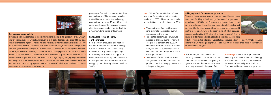premises of five Swiss companies. For three companies use of Pinch analysis revealed that additional potential thermal energy economies of between 15 and 30 per cent could be achieved. The measures required after the analysis can be amortised within a maximum time period of four years.

## **Renewable forms of energy on the increase**

Both electricity production and heat production from renewable forms of energy further increased in 2007. SwissEnergy is well on the way to reaching its target of providing an additional 500 gigawatthours (GWh) of electricity and 3,000 GWh of heat per year from renewable forms of energy by 2010 (in comparison to levels in 2000).

- Wood and waste (renewable proportions) still make the greatest overall contribution in this sector.
- $\blacksquare$  The greatest percentage growth was recorded in the heat pump sector with 11.5 per cent compared to 2006. In addition to a further increase in market share, use of heat pumps increased in new one- and two-family houses and in building renovation.
- $\blacksquare$  The number of solar panels increased strongly over 2006. The number of biogas plants remained roughly the same as in the preceding year.

**Heat:** With a further 551 GWh of heat (corrected for variations in the climate) produced in 2007, this sector has already attained 80 per cent of its target for 2010.

> **Further progress was made in the** building renovation sector. Heat pumps and wood-pellet burners are gaining a greater share of the market because of the steep increase in the price of oil.



**Electricity:** The increase in production of electricity from renewable forms of energy was more modest. In 2007, an additional 52.9 GWh of electricity were produced from renewable sources of energy. In this

#### **A biogas plant fit for the second generation**

They were already speaking about biogas when many didn't even know what it was. The Schnyder family belong to Switzerland's biogas pioneers. As far back as 1979 Christoph Schnyder realised his own biogas project on his farm. His son, Thomas, has now brought the plant into trim and extended it for the future: improved fermentation and higher biogas yield are two of the main features of the modernised plant, which began operation in October 2007. 2,000 cubic metres of pig manure and 900 cubic metres of cattle manure are processed in the biogas plant annually along



with 1,500 tonnes of co-substrates. Two gas turbines produce electricity and heat from the biogas. Soon either a third turbine or a gas engine will be added. About one million kilowatt-hours of electricity will



### **See the countryside by bike**

New routes are being opened up to cyclists in Switzerland: thanks to the sponsorship of the SwissEnergy programme Cycling in Switzerland's network of cycle paths that has existed since 1998 has been greatly extended and improved. The nine national cycles routes that have been in existence since 1998 could be supplemented with an additional 50 routes. The routes are 4,500 kilometres in length overall and lead cyclists through every part of Switzerland and also through the Principality of Liechtenstein. All the regional routes have two-digit numbers and are officially signposted just like the major national routes. The regional routes are all indicated in detail on the new map available on www.veloland.ch from where they may be downloaded and printed free of charge. In spring 2008, Cycling in Switzerland was integrated into the offering of Switzerland Mobility. This also offers hikers, mountain bikers and canoeists a national, uniformly signalised "Best Routes Network", which is presented in a most attractive manner on the site www.schweizmobil.ch.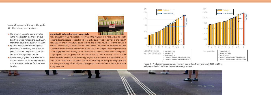sector 75 per cent of the agreed target for 2010 has already been attained.

- $\blacksquare$  The greatest absolute gain was noted in the wood sector; electricity production from wood increased to 92.4 GWh, more than double the quantity for 2006.
- $\blacksquare$  By contrast waste incineration plants produced less electricity, however such plants still make the greatest contribution to achieving energy targets.
- Above average growth was recorded in the photovoltaic sector although in contrast to 2006 some larger facilities were installed.





**Figure 8 – Production from renewable forms of energy (electricity and heat), 1990 to 2007, and production in 2007 from the various energy sources.**



#### **energyday07 features the energy saving bulb**

At the energyday07 A was not just called for but was rather very much in demand. All over the country thousands bought products or traded in old ones under deals offered by partners of energyday07. About 350,000 energy-saving bulbs passed over the shop counters. Advice and information were in demand – on the hotline, via Internet and at customer centres. Consumers were successfully motivated to contribute to greater energy efficiency and to take note of the energy label showing the efficiency classes ranging from A to G. Seventy-two per cent of the Swiss population were aware of energyday07 – unprompted 42 per cent, prompted 30 per cent. This was the result of a survey carried out at the end of November on behalf of the SwissEnergy programme. The intention is to build further on this success in the current year. All the present partners have said they will participate. energyday08 aims to achieve greater energy efficiency by encouraging people to switch off electric devices, for example at plug connectors.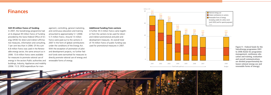## **Finances**

#### **Still 39 million francs of funding**

In 2007, the SwissEnergy programme had at its disposal 39 million francs of funding provided by the Swiss Federal Office of En ergy (SFOE) for direct and indirect affirma tive measures, information and consulting, 7 per cent less than in 2006. Of this sum 6.8 million francs was used in the Renew able energy sector, the same amount as in 2006. 13.6 million francs were available for measures to promote rational use of energy in the sectors Public authorities and buildings, Industry, Appliances and mobility (2006: 15.3). SFOE expenditure for man -

agement, controlling, general marketing, and continuous education and training amounted to approximately 5.1 (2006: 5.7) million francs. Around 13 million francs were paid out to the cantons in 2007 in the form of global contributions under the conditions of the Energy Act. With the exception of promotion of pilot and development projects, no further fed eral funds were earmarked for measures to directly promote rational use of energy and renewable forms of energy.

#### **Additional funding from cantons**

A further 35.5 million francs came togeth er from the cantons to be used for direct and indirect promotional and pilot and development measures. An overall total of 74 million francs of public funding was used for promotional measures in 2007.





| Rational energy use                    |  |  |
|----------------------------------------|--|--|
| Global contributions to cantons        |  |  |
| Renewable forms of energy              |  |  |
| (including credits for Lothar storm    |  |  |
| [until 2003] and for special purposes) |  |  |
| Total                                  |  |  |



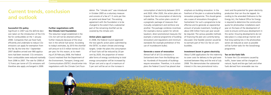# **Current trends, conclusion and outlook**

#### **Successful CO2 policy**

Significant in 2007 was the definite decision taken on the introduction of the CO<sub>2</sub> fee for combustibles on the 1 January 2008. Companies that use fossil fuels efficiently and undertake to reduce CO2 emissions can apply for exemption from the fee. By the time the 1 September 2007 deadline arrived over 900 applications had been received. CO2 emissions from combustibles were reduced markedly from 2006 to 2007. The rate for 2008 of 12 francs per tonne of CO2 emissions will therefore also apply unchanged in 2009.

## **Further negotiations with the Climate Cent Foundation**

The reduction target established in the CO2 Act will not be attained without further measures because of the situation in the vehicle fuel sector. According to today's estimates, by 2010 the shortfall will amount to 0.5 million tonnes of CO<sub>2</sub> per year. For this reason, at its meeting of 20 February 2008, the Federal Council resolved that the Department of the Environment, Transport, Energy and Communications (DETEC) should enter into negotiations with the Climate Cent Foundation. The "climate cent" was introduced in October 2005 as a voluntary measure and consists of a fee of 1.5 cents per litre on petrol and diesel fuel. The existing agreement with the Foundation is to be changed to the extent that a substantial part of the remaining shortfall can be covered by the climate cent.

#### **Action plans approved**

In 2008, the Federal Council approved the two specific action plans submitted by the DETEC to attain climate and energy targets. Under the plans the consumption of fossil fuels will be reduced by 20 per cent by 2020, the proportion of renewable forms of energy contributing to total energy consumption will be increased by 50 per cent and a cap of a maximum of 5 per cent will be set on the increase in

ment and the potential for green electricity production that can thus be tapped. According to the amended Ordinance to the Energy Act, the Federal Office for Energy is required to determine the construction quota for photovoltaic installations each year on the basis of the development of costs to ensure continuous development in this sector. Ensuring developments do not take place in a stop-and-go manner and that long waiting lists in the photovoltaic sector are reduced as soon as possible will be further tasks for the SwissEnergy programme.

consumption of electricity between 2010 and 2020. After 2020, the action plans anticipate that the consumption of electricity will stabilise. The action plans consist of a pragmatic package of measures that mutually complement and reinforce one another. The package combines incentives (for example a bonus system for vehicle taxation), direct promotional measures (for example a national programme of building renovation) and regulations and minimum standards (for example prohibition of the use of incandescent bulbs).

#### **Generate a wave of renovation**

Almost half of all CO2 emissions in Switzerland stem from the Buildings sector. Hundreds of thousands of buildings require renovation. Therefore, in its action plans the Federal Council has placed clear

emphasis on building renovation. In the forefront of the plan is a national building renovation programme. This should generate a wave of renovations throughout Switzerland. For such a programme to be effective and to generate an exponential amount of private investment, funding of about 200 million francs per year would be required. The various possible methods of financing the plan are currently being discussed. One feasible solution would be to earmark part of the CO2 fee on combustibles.

#### **Investment boom in green electricity**

About 5,000 applications for the indemnity to cover costs for delivery to the grid were received between May and the end of July 2008. This demonstrates the substantial interest in this new promotional instru-



#### **Tax on bio-fuels falls**

To lower the CO2 emissions caused by traffic, lower taxes will be charged on natural, liquid and bio-gas fuels and other fuels derived from renewable raw ma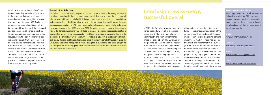terials. At the end of January 2007, the Federal Council approved the Ordinance to the amended Act on the mineral oil tax and determined the legislation would take force on 1 January 2008. Fuels such as biogas, bio-ethanol and biodiesel will be exempted from the tax if the ecological and socio-economic balance is positive. Taxes on natural gas and liquid gas will be reduced. Such tax reductions should lead increasingly to substitution of fossil fuels by fuels derived from renewable raw materials and natural gas. Using such fuels will lead to a reduction of CO2 emissions from traffic. In addition, emissions of pollutants such as respirable particles or ozone will be reduced through increased use of gas as fuel. Today the emphasis is on fuels from waste and subsidiary products.

## **Conclusion: SwissEnergy successful overall**

In 2007, the SwissEnergy programme functioned successfully overall in a changed environment. More and more players from industry and from environmental circles use the platform. The SwissEnergy programme is benefiting from the healthy economical situation and the high prices for fossil-based energy. The changed political environment (CO2 fee, Kyoto process) also gave a boost to the programme. Both the population and politicians have once again become more conscious of the environment and it has become more important on the political agenda. However,

other factors, such as the reduction in funds for subventions, modification of the reference trends on the basis of changed overall conditions and stagnating demand in significant market sectors, had a negative effect. This means that in the current year the focus of the programme will have to become even narrower: on the one hand on mobility, a problem sector where progress is urgently required, and on the other on building renovation and renewable forms of energy. The strengths of the SwissEnergy programme will need to be brought bear all the more in these sectors.

#### **The outlook for SwissEnergy**

The Federal Council's SwissEnergy programme runs until the end of 2010. In the coming two years, in consultation with all parties the programme management will determine what form the programme will take and how it will be continued after 2010. This process commenced already with this year's balance and strategy conference. Participants discussed in workshops what questions would confront the Swiss-Energy programme in the future. All the conference participants were of the opinion that a further stage was required extending from 2010 to at least 2020. The main arguments in favour of this opinion: In view of the changed environment it was felt that a co-ordination programme was needed in addition to more practical activity and increased promotion of public awareness. Opinions were also clear as to the programme content: In the future the programme should also take the form of an action programme for both energy efficiency and the use of renewable forms of energy. On behalf of the strategy group the SwissEnergy programme management drew up a concept for a "SwissEnergy after 2010" programme. The concept will be finalised by spring 2009 and thereafter be used by the Federal Council as the basis for a decision on the course to take.

## **Annual report on the Internet**

SwissEnergy's annual reports will no longer be delivered on a CD ROM. This saves the programme costs and contributes to the environment. However, all the reports can be found at the Internet address below and be conveniently downloaded from there:

#### **English**

www.swissenergy.ch/annualreports

#### **German**

www.energieschweiz.ch/jahresberichte

#### **French**

www.suisseenergie.ch/rapportsannuels

#### **Italian**

www.svizzeraenergia.ch/rapportiannuali